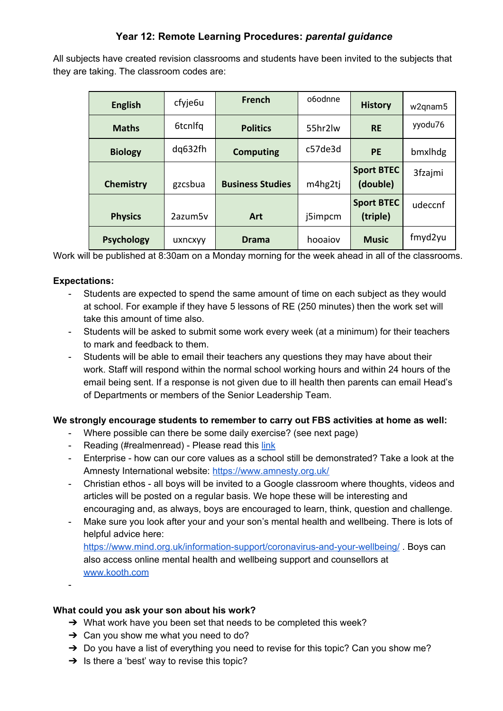## **Year 12: Remote Learning Procedures:** *parental guidance*

All subjects have created revision classrooms and students have been invited to the subjects that they are taking. The classroom codes are:

| <b>English</b>    | cfyje6u              | <b>French</b>           | o6odnne | <b>History</b>                | w2qnam5 |
|-------------------|----------------------|-------------------------|---------|-------------------------------|---------|
| <b>Maths</b>      | 6tcnlfq              | <b>Politics</b>         | 55hr2lw | <b>RE</b>                     | yyodu76 |
| <b>Biology</b>    | dq632fh              | <b>Computing</b>        | c57de3d | <b>PE</b>                     | bmxlhdg |
| <b>Chemistry</b>  | gzcsbua              | <b>Business Studies</b> | m4hg2tj | <b>Sport BTEC</b><br>(double) | 3fzajmi |
| <b>Physics</b>    | 2azum <sub>5</sub> v | Art                     | j5impcm | <b>Sport BTEC</b><br>(triple) | udeccnf |
| <b>Psychology</b> | uxncxyy              | Drama                   | hooaiov | <b>Music</b>                  | fmyd2yu |

Work will be published at 8:30am on a Monday morning for the week ahead in all of the classrooms.

### **Expectations:**

-

- Students are expected to spend the same amount of time on each subject as they would at school. For example if they have 5 lessons of RE (250 minutes) then the work set will take this amount of time also.
- Students will be asked to submit some work every week (at a minimum) for their teachers to mark and feedback to them.
- Students will be able to email their teachers any questions they may have about their work. Staff will respond within the normal school working hours and within 24 hours of the email being sent. If a response is not given due to ill health then parents can email Head's of Departments or members of the Senior Leadership Team.

### **We strongly encourage students to remember to carry out FBS activities at home as well:**

- Where possible can there be some daily exercise? (see next page)
- Reading (#realmenread) Please read this [link](https://docs.google.com/document/d/1knSYcsOOGcFy1AO3hGzdqbm3yfsbWLJzxkEkZuPF_4M/edit?usp=sharing)
- Enterprise how can our core values as a school still be demonstrated? Take a look at the Amnesty International website: <https://www.amnesty.org.uk/>
- Christian ethos all boys will be invited to a Google classroom where thoughts, videos and articles will be posted on a regular basis. We hope these will be interesting and encouraging and, as always, boys are encouraged to learn, think, question and challenge.
- Make sure you look after your and your son's mental health and wellbeing. There is lots of helpful advice here: <https://www.mind.org.uk/information-support/coronavirus-and-your-wellbeing/> . Boys can also access online mental health and wellbeing support and counsellors at [www.kooth.com](http://www.kooth.com/)

#### **What could you ask your son about his work?**

- $\rightarrow$  What work have you been set that needs to be completed this week?
- $\rightarrow$  Can you show me what you need to do?
- → Do you have a list of everything you need to revise for this topic? Can you show me?
- $\rightarrow$  Is there a 'best' way to revise this topic?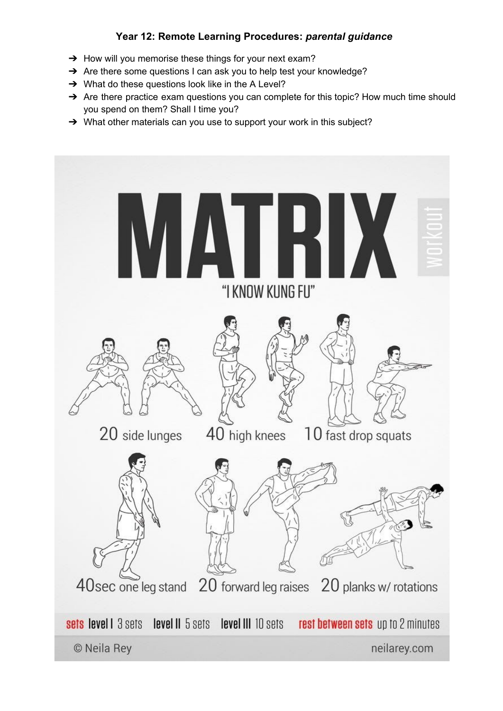# **Year 12: Remote Learning Procedures:** *parental guidance*

- → How will you memorise these things for your next exam?
- → Are there some questions I can ask you to help test your knowledge?
- $\rightarrow$  What do these questions look like in the A Level?
- → Are there practice exam questions you can complete for this topic? How much time should you spend on them? Shall I time you?
- → What other materials can you use to support your work in this subject?